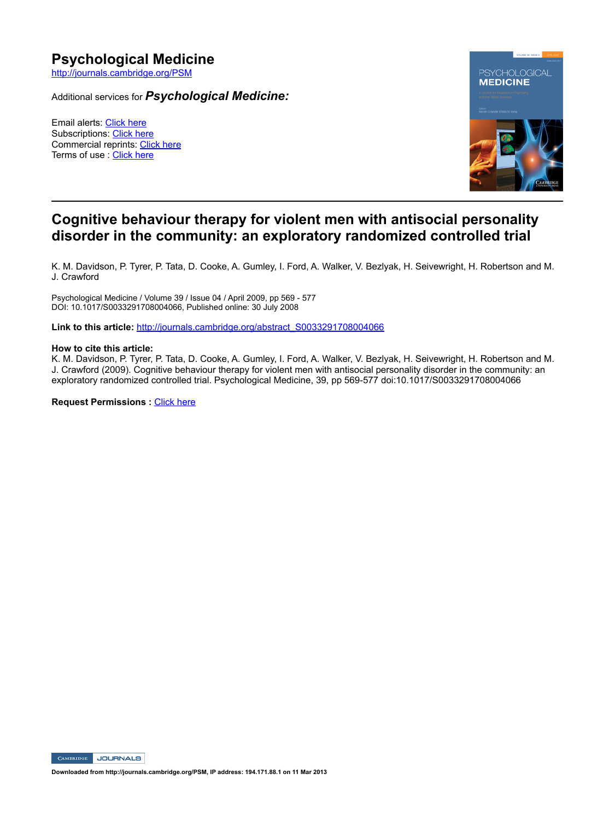# **Psychological Medicine**

http://journals.cambridge.org/PSM

Additional services for *Psychological Medicine:*

Email alerts: Click here Subscriptions: Click here Commercial reprints: Click here Terms of use : Click here



# **Cognitive behaviour therapy for violent men with antisocial personality disorder in the community: an exploratory randomized controlled trial**

K. M. Davidson, P. Tyrer, P. Tata, D. Cooke, A. Gumley, I. Ford, A. Walker, V. Bezlyak, H. Seivewright, H. Robertson and M. J. Crawford

Psychological Medicine / Volume 39 / Issue 04 / April 2009, pp 569 - 577 DOI: 10.1017/S0033291708004066, Published online: 30 July 2008

**Link to this article:** http://journals.cambridge.org/abstract\_S0033291708004066

### **How to cite this article:**

K. M. Davidson, P. Tyrer, P. Tata, D. Cooke, A. Gumley, I. Ford, A. Walker, V. Bezlyak, H. Seivewright, H. Robertson and M. J. Crawford (2009). Cognitive behaviour therapy for violent men with antisocial personality disorder in the community: an exploratory randomized controlled trial. Psychological Medicine, 39, pp 569-577 doi:10.1017/S0033291708004066

**Request Permissions : Click here** 

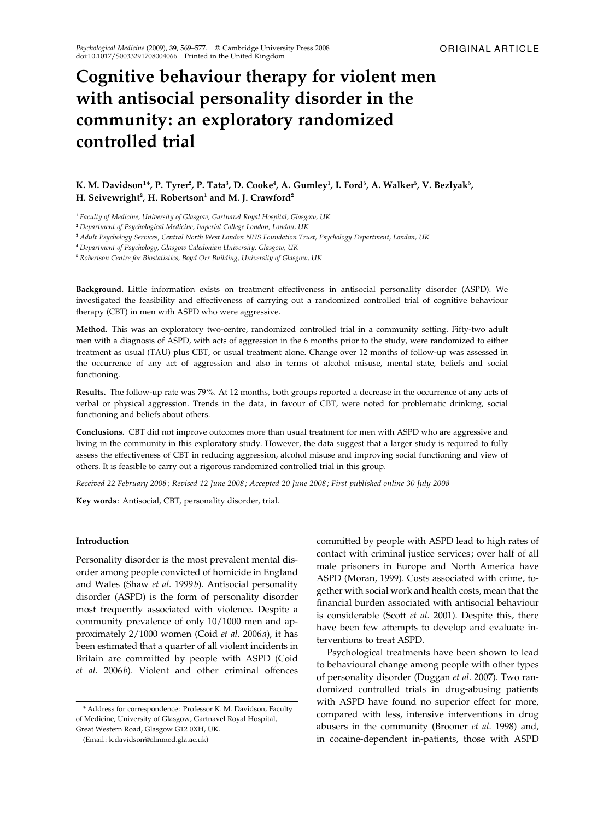# Cognitive behaviour therapy for violent men with antisocial personality disorder in the community: an exploratory randomized controlled trial

# K. M. Davidson'\*, P. Tyrer $^2$ , P. Tata $^3$ , D. Cooke $^4$ , A. Gumley $^1$ , I. Ford $^5$ , A. Walker $^5$ , V. Bezlyak $^5$ , H. Seivewright $^2$ , H. Robertson $^1$  and M. J. Crawford $^2$

<sup>1</sup> Faculty of Medicine, University of Glasgow, Gartnavel Royal Hospital, Glasgow, UK

<sup>3</sup> Adult Psychology Services, Central North West London NHS Foundation Trust, Psychology Department, London, UK

<sup>4</sup> Department of Psychology, Glasgow Caledonian University, Glasgow, UK

<sup>5</sup> Robertson Centre for Biostatistics, Boyd Orr Building, University of Glasgow, UK

Background. Little information exists on treatment effectiveness in antisocial personality disorder (ASPD). We investigated the feasibility and effectiveness of carrying out a randomized controlled trial of cognitive behaviour therapy (CBT) in men with ASPD who were aggressive.

Method. This was an exploratory two-centre, randomized controlled trial in a community setting. Fifty-two adult men with a diagnosis of ASPD, with acts of aggression in the 6 months prior to the study, were randomized to either treatment as usual (TAU) plus CBT, or usual treatment alone. Change over 12 months of follow-up was assessed in the occurrence of any act of aggression and also in terms of alcohol misuse, mental state, beliefs and social functioning.

Results. The follow-up rate was 79%. At 12 months, both groups reported a decrease in the occurrence of any acts of verbal or physical aggression. Trends in the data, in favour of CBT, were noted for problematic drinking, social functioning and beliefs about others.

Conclusions. CBT did not improve outcomes more than usual treatment for men with ASPD who are aggressive and living in the community in this exploratory study. However, the data suggest that a larger study is required to fully assess the effectiveness of CBT in reducing aggression, alcohol misuse and improving social functioning and view of others. It is feasible to carry out a rigorous randomized controlled trial in this group.

Received 22 February 2008; Revised 12 June 2008; Accepted 20 June 2008; First published online 30 July 2008

Key words : Antisocial, CBT, personality disorder, trial.

#### Introduction

Personality disorder is the most prevalent mental disorder among people convicted of homicide in England and Wales (Shaw et al. 1999b). Antisocial personality disorder (ASPD) is the form of personality disorder most frequently associated with violence. Despite a community prevalence of only 10/1000 men and approximately 2/1000 women (Coid et al. 2006a), it has been estimated that a quarter of all violent incidents in Britain are committed by people with ASPD (Coid et al. 2006b). Violent and other criminal offences committed by people with ASPD lead to high rates of contact with criminal justice services; over half of all male prisoners in Europe and North America have ASPD (Moran, 1999). Costs associated with crime, together with social work and health costs, mean that the financial burden associated with antisocial behaviour is considerable (Scott et al. 2001). Despite this, there have been few attempts to develop and evaluate interventions to treat ASPD.

Psychological treatments have been shown to lead to behavioural change among people with other types of personality disorder (Duggan et al. 2007). Two randomized controlled trials in drug-abusing patients with ASPD have found no superior effect for more, compared with less, intensive interventions in drug abusers in the community (Brooner et al. 1998) and, in cocaine-dependent in-patients, those with ASPD

<sup>&</sup>lt;sup>2</sup> Department of Psychological Medicine, Imperial College London, London, UK

<sup>\*</sup> Address for correspondence : Professor K. M. Davidson, Faculty of Medicine, University of Glasgow, Gartnavel Royal Hospital, Great Western Road, Glasgow G12 0XH, UK.

<sup>(</sup>Email : k.davidson@clinmed.gla.ac.uk)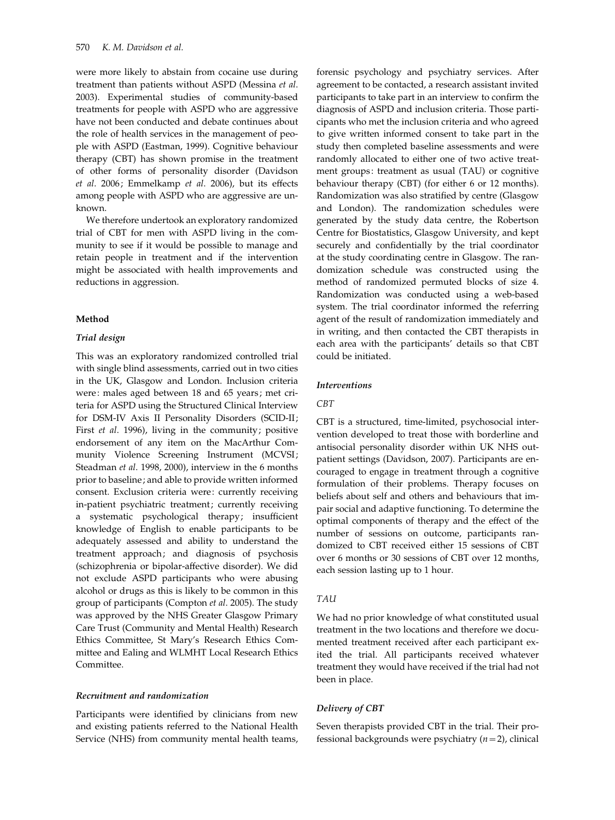were more likely to abstain from cocaine use during treatment than patients without ASPD (Messina et al. 2003). Experimental studies of community-based treatments for people with ASPD who are aggressive have not been conducted and debate continues about the role of health services in the management of people with ASPD (Eastman, 1999). Cognitive behaviour therapy (CBT) has shown promise in the treatment of other forms of personality disorder (Davidson et al. 2006; Emmelkamp et al. 2006), but its effects among people with ASPD who are aggressive are unknown.

We therefore undertook an exploratory randomized trial of CBT for men with ASPD living in the community to see if it would be possible to manage and retain people in treatment and if the intervention might be associated with health improvements and reductions in aggression.

### Method

### Trial design

This was an exploratory randomized controlled trial with single blind assessments, carried out in two cities in the UK, Glasgow and London. Inclusion criteria were: males aged between 18 and 65 years; met criteria for ASPD using the Structured Clinical Interview for DSM-IV Axis II Personality Disorders (SCID-II; First et al. 1996), living in the community; positive endorsement of any item on the MacArthur Community Violence Screening Instrument (MCVSI; Steadman et al. 1998, 2000), interview in the 6 months prior to baseline; and able to provide written informed consent. Exclusion criteria were: currently receiving in-patient psychiatric treatment; currently receiving a systematic psychological therapy; insufficient knowledge of English to enable participants to be adequately assessed and ability to understand the treatment approach; and diagnosis of psychosis (schizophrenia or bipolar-affective disorder). We did not exclude ASPD participants who were abusing alcohol or drugs as this is likely to be common in this group of participants (Compton et al. 2005). The study was approved by the NHS Greater Glasgow Primary Care Trust (Community and Mental Health) Research Ethics Committee, St Mary's Research Ethics Committee and Ealing and WLMHT Local Research Ethics Committee.

### Recruitment and randomization

Participants were identified by clinicians from new and existing patients referred to the National Health Service (NHS) from community mental health teams,

forensic psychology and psychiatry services. After agreement to be contacted, a research assistant invited participants to take part in an interview to confirm the diagnosis of ASPD and inclusion criteria. Those participants who met the inclusion criteria and who agreed to give written informed consent to take part in the study then completed baseline assessments and were randomly allocated to either one of two active treatment groups: treatment as usual (TAU) or cognitive behaviour therapy (CBT) (for either 6 or 12 months). Randomization was also stratified by centre (Glasgow and London). The randomization schedules were generated by the study data centre, the Robertson Centre for Biostatistics, Glasgow University, and kept securely and confidentially by the trial coordinator at the study coordinating centre in Glasgow. The randomization schedule was constructed using the method of randomized permuted blocks of size 4. Randomization was conducted using a web-based system. The trial coordinator informed the referring agent of the result of randomization immediately and in writing, and then contacted the CBT therapists in each area with the participants' details so that CBT could be initiated.

#### Interventions

# CBT

CBT is a structured, time-limited, psychosocial intervention developed to treat those with borderline and antisocial personality disorder within UK NHS outpatient settings (Davidson, 2007). Participants are encouraged to engage in treatment through a cognitive formulation of their problems. Therapy focuses on beliefs about self and others and behaviours that impair social and adaptive functioning. To determine the optimal components of therapy and the effect of the number of sessions on outcome, participants randomized to CBT received either 15 sessions of CBT over 6 months or 30 sessions of CBT over 12 months, each session lasting up to 1 hour.

#### TAU

We had no prior knowledge of what constituted usual treatment in the two locations and therefore we documented treatment received after each participant exited the trial. All participants received whatever treatment they would have received if the trial had not been in place.

### Delivery of CBT

Seven therapists provided CBT in the trial. Their professional backgrounds were psychiatry  $(n=2)$ , clinical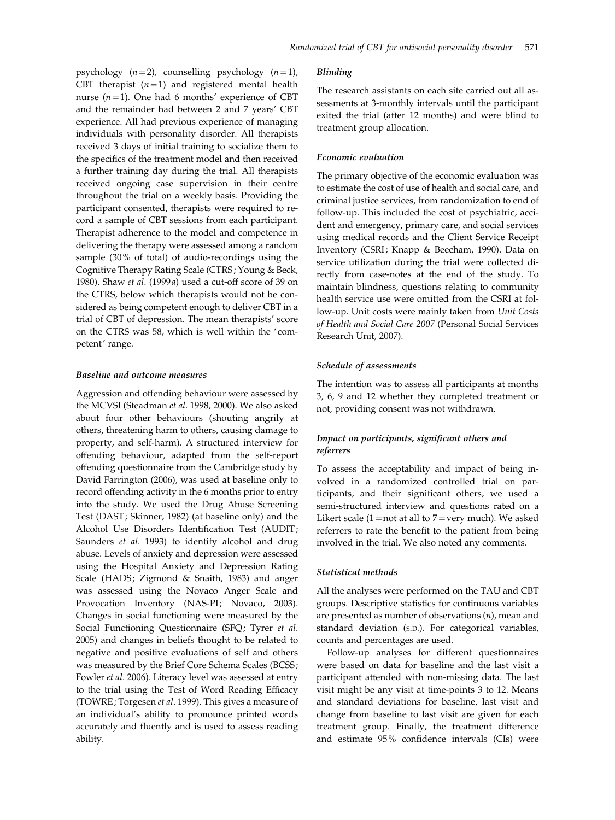psychology  $(n=2)$ , counselling psychology  $(n=1)$ , CBT therapist  $(n=1)$  and registered mental health nurse  $(n=1)$ . One had 6 months' experience of CBT and the remainder had between 2 and 7 years' CBT experience. All had previous experience of managing individuals with personality disorder. All therapists received 3 days of initial training to socialize them to the specifics of the treatment model and then received a further training day during the trial. All therapists received ongoing case supervision in their centre throughout the trial on a weekly basis. Providing the participant consented, therapists were required to record a sample of CBT sessions from each participant. Therapist adherence to the model and competence in delivering the therapy were assessed among a random sample (30% of total) of audio-recordings using the Cognitive Therapy Rating Scale (CTRS; Young & Beck, 1980). Shaw et al. (1999a) used a cut-off score of 39 on the CTRS, below which therapists would not be considered as being competent enough to deliver CBT in a trial of CBT of depression. The mean therapists' score on the CTRS was 58, which is well within the ' competent' range.

#### Baseline and outcome measures

Aggression and offending behaviour were assessed by the MCVSI (Steadman et al. 1998, 2000). We also asked about four other behaviours (shouting angrily at others, threatening harm to others, causing damage to property, and self-harm). A structured interview for offending behaviour, adapted from the self-report offending questionnaire from the Cambridge study by David Farrington (2006), was used at baseline only to record offending activity in the 6 months prior to entry into the study. We used the Drug Abuse Screening Test (DAST; Skinner, 1982) (at baseline only) and the Alcohol Use Disorders Identification Test (AUDIT; Saunders et al. 1993) to identify alcohol and drug abuse. Levels of anxiety and depression were assessed using the Hospital Anxiety and Depression Rating Scale (HADS; Zigmond & Snaith, 1983) and anger was assessed using the Novaco Anger Scale and Provocation Inventory (NAS-PI; Novaco, 2003). Changes in social functioning were measured by the Social Functioning Questionnaire (SFQ; Tyrer et al. 2005) and changes in beliefs thought to be related to negative and positive evaluations of self and others was measured by the Brief Core Schema Scales (BCSS; Fowler et al. 2006). Literacy level was assessed at entry to the trial using the Test of Word Reading Efficacy (TOWRE; Torgesen et al. 1999). This gives a measure of an individual's ability to pronounce printed words accurately and fluently and is used to assess reading ability.

#### Blinding

The research assistants on each site carried out all assessments at 3-monthly intervals until the participant exited the trial (after 12 months) and were blind to treatment group allocation.

#### Economic evaluation

The primary objective of the economic evaluation was to estimate the cost of use of health and social care, and criminal justice services, from randomization to end of follow-up. This included the cost of psychiatric, accident and emergency, primary care, and social services using medical records and the Client Service Receipt Inventory (CSRI; Knapp & Beecham, 1990). Data on service utilization during the trial were collected directly from case-notes at the end of the study. To maintain blindness, questions relating to community health service use were omitted from the CSRI at follow-up. Unit costs were mainly taken from Unit Costs of Health and Social Care 2007 (Personal Social Services Research Unit, 2007).

#### Schedule of assessments

The intention was to assess all participants at months 3, 6, 9 and 12 whether they completed treatment or not, providing consent was not withdrawn.

# Impact on participants, significant others and referrers

To assess the acceptability and impact of being involved in a randomized controlled trial on participants, and their significant others, we used a semi-structured interview and questions rated on a Likert scale  $(1=not$  at all to  $7=very$  much). We asked referrers to rate the benefit to the patient from being involved in the trial. We also noted any comments.

#### Statistical methods

All the analyses were performed on the TAU and CBT groups. Descriptive statistics for continuous variables are presented as number of observations  $(n)$ , mean and standard deviation (S.D.). For categorical variables, counts and percentages are used.

Follow-up analyses for different questionnaires were based on data for baseline and the last visit a participant attended with non-missing data. The last visit might be any visit at time-points 3 to 12. Means and standard deviations for baseline, last visit and change from baseline to last visit are given for each treatment group. Finally, the treatment difference and estimate 95% confidence intervals (CIs) were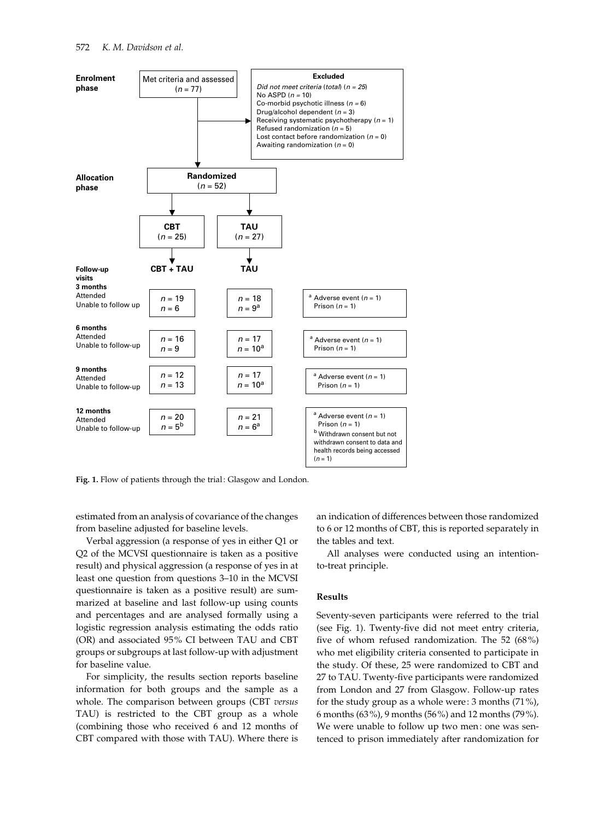

Fig. 1. Flow of patients through the trial : Glasgow and London.

estimated from an analysis of covariance of the changes from baseline adjusted for baseline levels.

Verbal aggression (a response of yes in either Q1 or Q2 of the MCVSI questionnaire is taken as a positive result) and physical aggression (a response of yes in at least one question from questions 3–10 in the MCVSI questionnaire is taken as a positive result) are summarized at baseline and last follow-up using counts and percentages and are analysed formally using a logistic regression analysis estimating the odds ratio (OR) and associated 95% CI between TAU and CBT groups or subgroups at last follow-up with adjustment for baseline value.

For simplicity, the results section reports baseline information for both groups and the sample as a whole. The comparison between groups (CBT versus TAU) is restricted to the CBT group as a whole (combining those who received 6 and 12 months of CBT compared with those with TAU). Where there is an indication of differences between those randomized to 6 or 12 months of CBT, this is reported separately in the tables and text.

All analyses were conducted using an intentionto-treat principle.

# Results

Seventy-seven participants were referred to the trial (see Fig. 1). Twenty-five did not meet entry criteria, five of whom refused randomization. The 52 (68%) who met eligibility criteria consented to participate in the study. Of these, 25 were randomized to CBT and 27 to TAU. Twenty-five participants were randomized from London and 27 from Glasgow. Follow-up rates for the study group as a whole were: 3 months (71%), 6 months (63%), 9 months (56%) and 12 months (79%). We were unable to follow up two men: one was sentenced to prison immediately after randomization for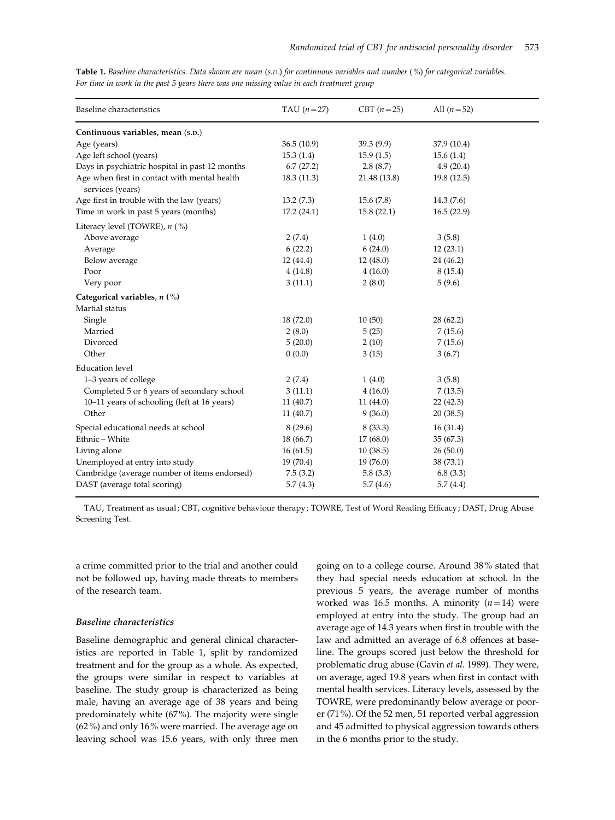| <b>Table 1.</b> Baseline characteristics. Data shown are mean (s.p.) for continuous variables and number (%) for categorical variables. |  |  |  |  |
|-----------------------------------------------------------------------------------------------------------------------------------------|--|--|--|--|
| For time in work in the past 5 years there was one missing value in each treatment group                                                |  |  |  |  |

| <b>Baseline</b> characteristics                                  | TAU $(n=27)$ | $CBT (n=25)$ | All $(n=52)$ |  |  |  |  |
|------------------------------------------------------------------|--------------|--------------|--------------|--|--|--|--|
| Continuous variables, mean (s.p.)                                |              |              |              |  |  |  |  |
| Age (years)                                                      | 36.5(10.9)   | 39.3(9.9)    | 37.9 (10.4)  |  |  |  |  |
| Age left school (years)                                          | 15.3(1.4)    | 15.9(1.5)    | 15.6(1.4)    |  |  |  |  |
| Days in psychiatric hospital in past 12 months                   | 6.7(27.2)    | 2.8(8.7)     | 4.9(20.4)    |  |  |  |  |
| Age when first in contact with mental health<br>services (years) | 18.3(11.3)   | 21.48 (13.8) | 19.8 (12.5)  |  |  |  |  |
| Age first in trouble with the law (years)                        | 13.2(7.3)    | 15.6(7.8)    | 14.3(7.6)    |  |  |  |  |
| Time in work in past 5 years (months)                            | 17.2(24.1)   | 15.8(22.1)   | 16.5(22.9)   |  |  |  |  |
| Literacy level (TOWRE), n (%)                                    |              |              |              |  |  |  |  |
| Above average                                                    | 2(7.4)       | 1(4.0)       | 3(5.8)       |  |  |  |  |
| Average                                                          | 6(22.2)      | 6(24.0)      | 12(23.1)     |  |  |  |  |
| Below average                                                    | 12 (44.4)    | 12(48.0)     | 24 (46.2)    |  |  |  |  |
| Poor                                                             | 4(14.8)      | 4(16.0)      | 8(15.4)      |  |  |  |  |
| Very poor                                                        | 3(11.1)      | 2(8.0)       | 5(9.6)       |  |  |  |  |
| Categorical variables, $n$ (%)                                   |              |              |              |  |  |  |  |
| Martial status                                                   |              |              |              |  |  |  |  |
| Single                                                           | 18 (72.0)    | 10(50)       | 28 (62.2)    |  |  |  |  |
| Married                                                          | 2(8.0)       | 5(25)        | 7(15.6)      |  |  |  |  |
| Divorced                                                         | 5(20.0)      | 2(10)        | 7(15.6)      |  |  |  |  |
| Other                                                            | 0(0.0)       | 3(15)        | 3(6.7)       |  |  |  |  |
| <b>Education</b> level                                           |              |              |              |  |  |  |  |
| 1-3 years of college                                             | 2(7.4)       | 1(4.0)       | 3(5.8)       |  |  |  |  |
| Completed 5 or 6 years of secondary school                       | 3(11.1)      | 4(16.0)      | 7(13.5)      |  |  |  |  |
| 10-11 years of schooling (left at 16 years)                      | 11(40.7)     | 11 (44.0)    | 22(42.3)     |  |  |  |  |
| Other                                                            | 11(40.7)     | 9(36.0)      | 20(38.5)     |  |  |  |  |
| Special educational needs at school                              | 8(29.6)      | 8(33.3)      | 16(31.4)     |  |  |  |  |
| Ethnic - White                                                   | 18 (66.7)    | 17 (68.0)    | 35 (67.3)    |  |  |  |  |
| Living alone                                                     | 16(61.5)     | 10(38.5)     | 26(50.0)     |  |  |  |  |
| Unemployed at entry into study                                   | 19(70.4)     | 19(76.0)     | 38 (73.1)    |  |  |  |  |
| Cambridge (average number of items endorsed)                     | 7.5(3.2)     | 5.8(3.3)     | 6.8(3.3)     |  |  |  |  |
| DAST (average total scoring)                                     | 5.7(4.3)     | 5.7(4.6)     | 5.7(4.4)     |  |  |  |  |

TAU, Treatment as usual; CBT, cognitive behaviour therapy ; TOWRE, Test of Word Reading Efficacy ; DAST, Drug Abuse Screening Test.

a crime committed prior to the trial and another could not be followed up, having made threats to members of the research team.

# Baseline characteristics

Baseline demographic and general clinical characteristics are reported in Table 1, split by randomized treatment and for the group as a whole. As expected, the groups were similar in respect to variables at baseline. The study group is characterized as being male, having an average age of 38 years and being predominately white (67%). The majority were single (62%) and only 16% were married. The average age on leaving school was 15.6 years, with only three men

going on to a college course. Around 38% stated that they had special needs education at school. In the previous 5 years, the average number of months worked was 16.5 months. A minority  $(n=14)$  were employed at entry into the study. The group had an average age of 14.3 years when first in trouble with the law and admitted an average of 6.8 offences at baseline. The groups scored just below the threshold for problematic drug abuse (Gavin et al. 1989). They were, on average, aged 19.8 years when first in contact with mental health services. Literacy levels, assessed by the TOWRE, were predominantly below average or poorer (71%). Of the 52 men, 51 reported verbal aggression and 45 admitted to physical aggression towards others in the 6 months prior to the study.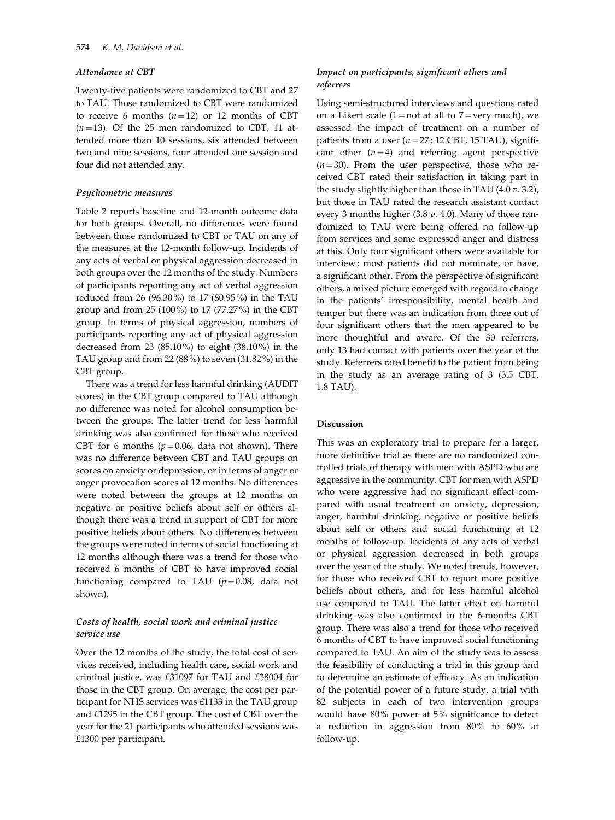### Attendance at CBT

Twenty-five patients were randomized to CBT and 27 to TAU. Those randomized to CBT were randomized to receive 6 months  $(n=12)$  or 12 months of CBT  $(n=13)$ . Of the 25 men randomized to CBT, 11 attended more than 10 sessions, six attended between two and nine sessions, four attended one session and four did not attended any.

# Psychometric measures

Table 2 reports baseline and 12-month outcome data for both groups. Overall, no differences were found between those randomized to CBT or TAU on any of the measures at the 12-month follow-up. Incidents of any acts of verbal or physical aggression decreased in both groups over the 12 months of the study. Numbers of participants reporting any act of verbal aggression reduced from 26 (96.30%) to 17 (80.95%) in the TAU group and from 25 (100%) to 17 (77.27%) in the CBT group. In terms of physical aggression, numbers of participants reporting any act of physical aggression decreased from 23 (85.10%) to eight (38.10%) in the TAU group and from 22 (88%) to seven (31.82%) in the CBT group.

There was a trend for less harmful drinking (AUDIT scores) in the CBT group compared to TAU although no difference was noted for alcohol consumption between the groups. The latter trend for less harmful drinking was also confirmed for those who received CBT for 6 months ( $p=0.06$ , data not shown). There was no difference between CBT and TAU groups on scores on anxiety or depression, or in terms of anger or anger provocation scores at 12 months. No differences were noted between the groups at 12 months on negative or positive beliefs about self or others although there was a trend in support of CBT for more positive beliefs about others. No differences between the groups were noted in terms of social functioning at 12 months although there was a trend for those who received 6 months of CBT to have improved social functioning compared to TAU  $(p=0.08, \text{ data not})$ shown).

# Costs of health, social work and criminal justice service use

Over the 12 months of the study, the total cost of services received, including health care, social work and criminal justice, was £31097 for TAU and £38004 for those in the CBT group. On average, the cost per participant for NHS services was £1133 in the TAU group and £1295 in the CBT group. The cost of CBT over the year for the 21 participants who attended sessions was £1300 per participant.

# Impact on participants, significant others and referrers

Using semi-structured interviews and questions rated on a Likert scale  $(1=not$  at all to  $7=very$  much), we assessed the impact of treatment on a number of patients from a user  $(n=27; 12 \text{ CBT}, 15 \text{ TAU})$ , significant other  $(n=4)$  and referring agent perspective  $(n=30)$ . From the user perspective, those who received CBT rated their satisfaction in taking part in the study slightly higher than those in TAU  $(4.0 v. 3.2)$ , but those in TAU rated the research assistant contact every 3 months higher  $(3.8 v. 4.0)$ . Many of those randomized to TAU were being offered no follow-up from services and some expressed anger and distress at this. Only four significant others were available for interview; most patients did not nominate, or have, a significant other. From the perspective of significant others, a mixed picture emerged with regard to change in the patients' irresponsibility, mental health and temper but there was an indication from three out of four significant others that the men appeared to be more thoughtful and aware. Of the 30 referrers, only 13 had contact with patients over the year of the study. Referrers rated benefit to the patient from being in the study as an average rating of 3 (3.5 CBT, 1.8 TAU).

# Discussion

This was an exploratory trial to prepare for a larger, more definitive trial as there are no randomized controlled trials of therapy with men with ASPD who are aggressive in the community. CBT for men with ASPD who were aggressive had no significant effect compared with usual treatment on anxiety, depression, anger, harmful drinking, negative or positive beliefs about self or others and social functioning at 12 months of follow-up. Incidents of any acts of verbal or physical aggression decreased in both groups over the year of the study. We noted trends, however, for those who received CBT to report more positive beliefs about others, and for less harmful alcohol use compared to TAU. The latter effect on harmful drinking was also confirmed in the 6-months CBT group. There was also a trend for those who received 6 months of CBT to have improved social functioning compared to TAU. An aim of the study was to assess the feasibility of conducting a trial in this group and to determine an estimate of efficacy. As an indication of the potential power of a future study, a trial with 82 subjects in each of two intervention groups would have 80% power at 5% significance to detect a reduction in aggression from 80% to 60% at follow-up.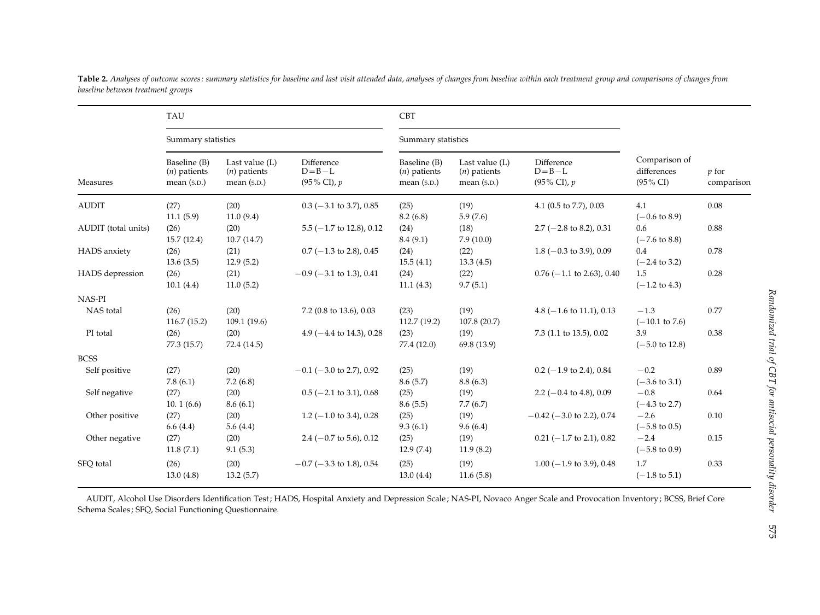|                     | <b>TAU</b>                                                                                         |                     |                                          | <b>CBT</b>                                      |                                                   |                                            |                                     |                                          |
|---------------------|----------------------------------------------------------------------------------------------------|---------------------|------------------------------------------|-------------------------------------------------|---------------------------------------------------|--------------------------------------------|-------------------------------------|------------------------------------------|
|                     | Summary statistics                                                                                 |                     |                                          | Summary statistics                              |                                                   |                                            | $p$ for<br>comparison               |                                          |
| Measures            | Baseline (B)<br>Last value $(L)$<br>$(n)$ patients<br>$(n)$ patients<br>mean (s.p.)<br>mean (s.p.) |                     | Difference<br>$D = B - L$<br>(95% CI), p | Baseline (B)<br>$(n)$ patients<br>mean $(S.D.)$ | Last value $(L)$<br>$(n)$ patients<br>mean (s.p.) | Difference<br>$D = B - L$<br>(95% CI), $p$ |                                     | Comparison of<br>differences<br>(95% CI) |
| <b>AUDIT</b>        | (27)<br>11.1(5.9)                                                                                  | (20)<br>11.0(9.4)   | $0.3$ (-3.1 to 3.7), 0.85                | (25)<br>8.2(6.8)                                | (19)<br>5.9(7.6)                                  | 4.1 (0.5 to 7.7), 0.03                     | 4.1<br>$(-0.6 \text{ to } 8.9)$     | 0.08                                     |
| AUDIT (total units) | (26)<br>15.7(12.4)                                                                                 | (20)<br>10.7(14.7)  | $5.5$ ( $-1.7$ to 12.8), 0.12            | (24)<br>8.4(9.1)                                | (18)<br>7.9(10.0)                                 | 2.7 ( $-2.8$ to 8.2), 0.31                 | 0.6<br>$(-7.6 \text{ to } 8.8)$     | 0.88                                     |
| HADS anxiety        | (26)<br>13.6(3.5)                                                                                  | (21)<br>12.9(5.2)   | $0.7$ (-1.3 to 2.8), 0.45                | (24)<br>15.5(4.1)                               | (22)<br>13.3(4.5)                                 | $1.8$ (-0.3 to 3.9), 0.09                  | 0.4<br>$(-2.4 \text{ to } 3.2)$     | 0.78                                     |
| HADS depression     | (26)<br>10.1(4.4)                                                                                  | (21)<br>11.0(5.2)   | $-0.9$ ( $-3.1$ to 1.3), 0.41            | (24)<br>11.1(4.3)                               | (22)<br>9.7(5.1)                                  | $0.76$ (-1.1 to 2.63), 0.40                | 1.5<br>$(-1.2 \text{ to } 4.3)$     | 0.28                                     |
| NAS-PI              |                                                                                                    |                     |                                          |                                                 |                                                   |                                            |                                     |                                          |
| NAS total           | (26)<br>116.7(15.2)                                                                                | (20)<br>109.1(19.6) | 7.2 (0.8 to 13.6), 0.03                  | (23)<br>112.7 (19.2)                            | (19)<br>107.8 (20.7)                              | 4.8 $(-1.6 \text{ to } 11.1)$ , 0.13       | $-1.3$<br>$(-10.1 \text{ to } 7.6)$ | 0.77                                     |
| PI total            | (26)<br>77.3 (15.7)                                                                                | (20)<br>72.4 (14.5) | 4.9 ( $-4.4$ to 14.3), 0.28              | (23)<br>77.4 (12.0)                             | (19)<br>69.8 (13.9)                               | 7.3 (1.1 to 13.5), 0.02                    | 3.9<br>$(-5.0 \text{ to } 12.8)$    | 0.38                                     |
| <b>BCSS</b>         |                                                                                                    |                     |                                          |                                                 |                                                   |                                            |                                     |                                          |
| Self positive       | (27)<br>7.8(6.1)                                                                                   | (20)<br>7.2(6.8)    | $-0.1$ (-3.0 to 2.7), 0.92               | (25)<br>8.6(5.7)                                | (19)<br>8.8(6.3)                                  | $0.2$ (-1.9 to 2.4), 0.84                  | $-0.2$<br>$(-3.6 \text{ to } 3.1)$  | 0.89                                     |
| Self negative       | (27)<br>10.1 $(6.6)$                                                                               | (20)<br>8.6(6.1)    | $0.5$ (-2.1 to 3.1), 0.68                | (25)<br>8.6(5.5)                                | (19)<br>7.7(6.7)                                  | 2.2 ( $-0.4$ to 4.8), 0.09                 | $-0.8$<br>$(-4.3 \text{ to } 2.7)$  | 0.64                                     |
| Other positive      | (27)<br>6.6(4.4)                                                                                   | (20)<br>5.6(4.4)    | $1.2$ (-1.0 to 3.4), 0.28                | (25)<br>9.3(6.1)                                | (19)<br>9.6(6.4)                                  | $-0.42$ ( $-3.0$ to 2.2), 0.74             | $-2.6$<br>$(-5.8 \text{ to } 0.5)$  | 0.10                                     |
| Other negative      | (27)<br>11.8(7.1)                                                                                  | (20)<br>9.1(5.3)    | 2.4 $(-0.7 \text{ to } 5.6)$ , 0.12      | (25)<br>12.9(7.4)                               | (19)<br>11.9(8.2)                                 | $0.21$ (-1.7 to 2.1), 0.82                 | $-2.4$<br>$(-5.8 \text{ to } 0.9)$  | 0.15                                     |
| SFQ total           | (26)<br>13.0(4.8)                                                                                  | (20)<br>13.2(5.7)   | $-0.7$ ( $-3.3$ to 1.8), 0.54            | (25)<br>13.0(4.4)                               | (19)<br>11.6(5.8)                                 | $1.00$ (-1.9 to 3.9), 0.48                 | 1.7<br>$(-1.8 \text{ to } 5.1)$     | 0.33                                     |

Table 2. Analyses of outcome scores: summary statistics for baseline and last visit attended data, analyses of changes from baseline within each treatment group and comparisons of changes from baseline between treatment groups

AUDIT, Alcohol Use Disorders Identification Test; HADS, Hospital Anxiety and Depression Scale; NAS-PI, Novaco Anger Scale and Provocation Inventory; BCSS, Brief Core Schema Scales; SFQ, Social Functioning Questionnaire.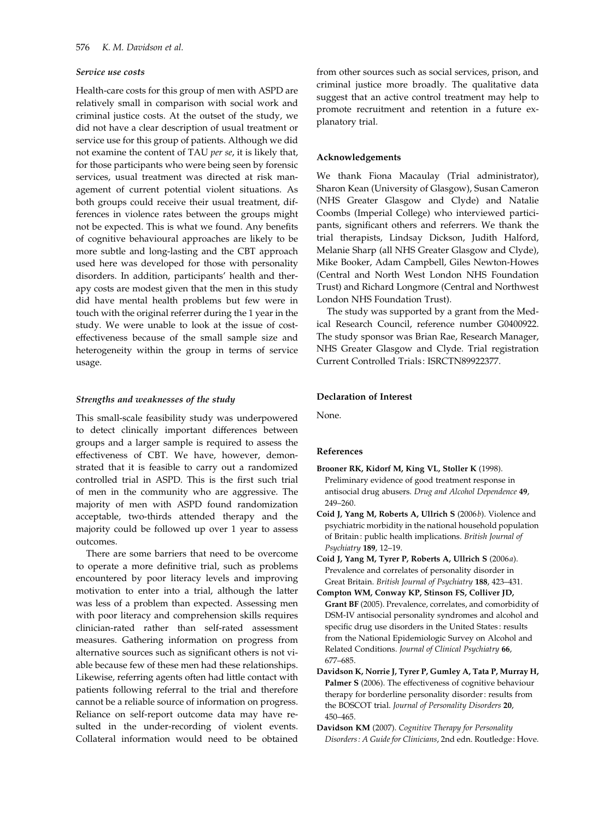#### Service use costs

Health-care costs for this group of men with ASPD are relatively small in comparison with social work and criminal justice costs. At the outset of the study, we did not have a clear description of usual treatment or service use for this group of patients. Although we did not examine the content of TAU per se, it is likely that, for those participants who were being seen by forensic services, usual treatment was directed at risk management of current potential violent situations. As both groups could receive their usual treatment, differences in violence rates between the groups might not be expected. This is what we found. Any benefits of cognitive behavioural approaches are likely to be more subtle and long-lasting and the CBT approach used here was developed for those with personality disorders. In addition, participants' health and therapy costs are modest given that the men in this study did have mental health problems but few were in touch with the original referrer during the 1 year in the study. We were unable to look at the issue of costeffectiveness because of the small sample size and heterogeneity within the group in terms of service usage.

#### Strengths and weaknesses of the study

This small-scale feasibility study was underpowered to detect clinically important differences between groups and a larger sample is required to assess the effectiveness of CBT. We have, however, demonstrated that it is feasible to carry out a randomized controlled trial in ASPD. This is the first such trial of men in the community who are aggressive. The majority of men with ASPD found randomization acceptable, two-thirds attended therapy and the majority could be followed up over 1 year to assess outcomes.

There are some barriers that need to be overcome to operate a more definitive trial, such as problems encountered by poor literacy levels and improving motivation to enter into a trial, although the latter was less of a problem than expected. Assessing men with poor literacy and comprehension skills requires clinician-rated rather than self-rated assessment measures. Gathering information on progress from alternative sources such as significant others is not viable because few of these men had these relationships. Likewise, referring agents often had little contact with patients following referral to the trial and therefore cannot be a reliable source of information on progress. Reliance on self-report outcome data may have resulted in the under-recording of violent events. Collateral information would need to be obtained

from other sources such as social services, prison, and criminal justice more broadly. The qualitative data suggest that an active control treatment may help to promote recruitment and retention in a future explanatory trial.

#### Acknowledgements

We thank Fiona Macaulay (Trial administrator), Sharon Kean (University of Glasgow), Susan Cameron (NHS Greater Glasgow and Clyde) and Natalie Coombs (Imperial College) who interviewed participants, significant others and referrers. We thank the trial therapists, Lindsay Dickson, Judith Halford, Melanie Sharp (all NHS Greater Glasgow and Clyde), Mike Booker, Adam Campbell, Giles Newton-Howes (Central and North West London NHS Foundation Trust) and Richard Longmore (Central and Northwest London NHS Foundation Trust).

The study was supported by a grant from the Medical Research Council, reference number G0400922. The study sponsor was Brian Rae, Research Manager, NHS Greater Glasgow and Clyde. Trial registration Current Controlled Trials: ISRCTN89922377.

#### Declaration of Interest

None.

#### References

- Brooner RK, Kidorf M, King VL, Stoller K (1998). Preliminary evidence of good treatment response in antisocial drug abusers. Drug and Alcohol Dependence 49, 249–260.
- Coid J, Yang M, Roberts A, Ullrich S (2006b). Violence and psychiatric morbidity in the national household population of Britain : public health implications. British Journal of Psychiatry 189, 12–19.
- Coid J, Yang M, Tyrer P, Roberts A, Ullrich S (2006a). Prevalence and correlates of personality disorder in Great Britain. British Journal of Psychiatry 188, 423–431.
- Compton WM, Conway KP, Stinson FS, Colliver JD, Grant BF (2005). Prevalence, correlates, and comorbidity of DSM-IV antisocial personality syndromes and alcohol and specific drug use disorders in the United States : results from the National Epidemiologic Survey on Alcohol and Related Conditions. Journal of Clinical Psychiatry 66, 677–685.
- Davidson K, Norrie J, Tyrer P, Gumley A, Tata P, Murray H, Palmer S (2006). The effectiveness of cognitive behaviour therapy for borderline personality disorder : results from the BOSCOT trial. Journal of Personality Disorders 20, 450–465.
- Davidson KM (2007). Cognitive Therapy for Personality Disorders : A Guide for Clinicians, 2nd edn. Routledge : Hove.